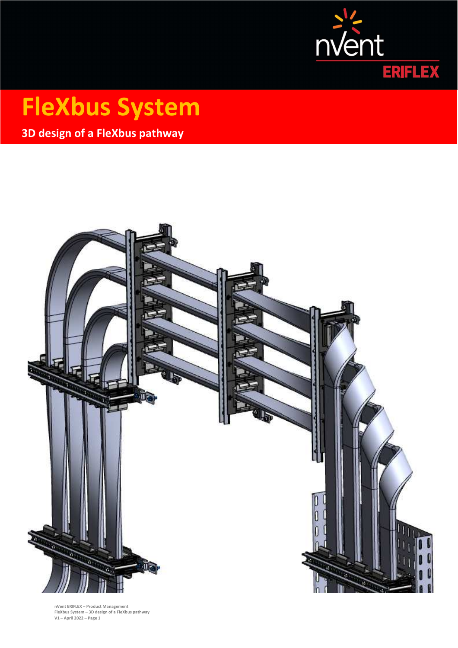

# **FleXbus System**

**3D design of a FleXbus pathway** 



**nVent ERIFLEX – Product Management FleXbus System – 3D design of a FleXbus pathway V1 – April 2022 – Page 1**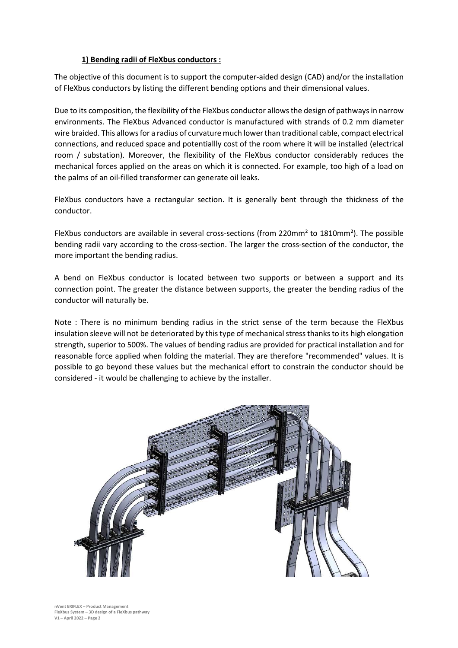### **1) Bending radii of FleXbus conductors :**

The objective of this document is to support the computer-aided design (CAD) and/or the installation of FleXbus conductors by listing the different bending options and their dimensional values.

Due to its composition, the flexibility of the FleXbus conductor allows the design of pathways in narrow environments. The FleXbus Advanced conductor is manufactured with strands of 0.2 mm diameter wire braided. This allows for a radius of curvature much lower than traditional cable, compact electrical connections, and reduced space and potentiallly cost of the room where it will be installed (electrical room / substation). Moreover, the flexibility of the FleXbus conductor considerably reduces the mechanical forces applied on the areas on which it is connected. For example, too high of a load on the palms of an oil-filled transformer can generate oil leaks.

FleXbus conductors have a rectangular section. It is generally bent through the thickness of the conductor.

FleXbus conductors are available in several cross-sections (from 220mm² to 1810mm²). The possible bending radii vary according to the cross-section. The larger the cross-section of the conductor, the more important the bending radius.

A bend on FleXbus conductor is located between two supports or between a support and its connection point. The greater the distance between supports, the greater the bending radius of the conductor will naturally be.

Note : There is no minimum bending radius in the strict sense of the term because the FleXbus insulation sleeve will not be deteriorated by this type of mechanical stress thanks to its high elongation strength, superior to 500%. The values of bending radius are provided for practical installation and for reasonable force applied when folding the material. They are therefore "recommended" values. It is possible to go beyond these values but the mechanical effort to constrain the conductor should be considered - it would be challenging to achieve by the installer.

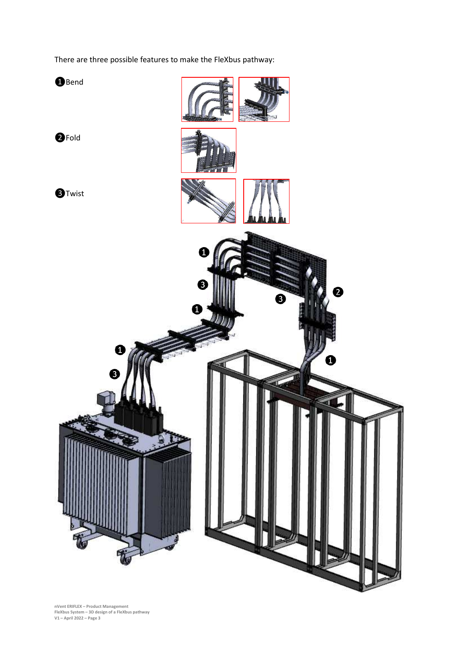There are three possible features to make the FleXbus pathway:

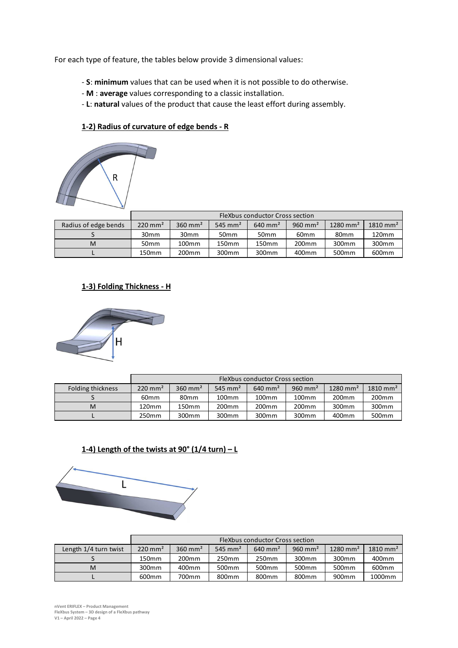For each type of feature, the tables below provide 3 dimensional values:

- **S**: **minimum** values that can be used when it is not possible to do otherwise.
- **M** : **average** values corresponding to a classic installation.
- **L**: **natural** values of the product that cause the least effort during assembly.

### **1-2) Radius of curvature of edge bends - R**



|                      | FleXbus conductor Cross section |                    |                     |                       |                    |                        |                     |
|----------------------|---------------------------------|--------------------|---------------------|-----------------------|--------------------|------------------------|---------------------|
| Radius of edge bends | $220$ mm <sup>2</sup>           | $360 \text{ mm}^2$ | 545 mm <sup>2</sup> | $640$ mm <sup>2</sup> | $960 \text{ mm}^2$ | $1280$ mm <sup>2</sup> | $1810 \text{ mm}^2$ |
|                      | 30mm                            | 30 <sub>mm</sub>   | 50 <sub>mm</sub>    | 50 <sub>mm</sub>      | 60 <sub>mm</sub>   | 80 <sub>mm</sub>       | 120mm               |
| м                    | 50 <sub>mm</sub>                | 100 <sub>mm</sub>  | 150mm               | 150 <sub>mm</sub>     | 200 <sub>mm</sub>  | 300mm                  | 300 <sub>mm</sub>   |
|                      | 150 <sub>mm</sub>               | 200 <sub>mm</sub>  | 300 <sub>mm</sub>   | 300 <sub>mm</sub>     | 400mm              | 500 <sub>mm</sub>      | 600 <sub>mm</sub>   |

# **1-3) Folding Thickness - H**



|                   | FleXbus conductor Cross section |                    |                     |                    |                    |                     |                     |
|-------------------|---------------------------------|--------------------|---------------------|--------------------|--------------------|---------------------|---------------------|
| Folding thickness | $220 \text{ mm}^2$              | $360 \text{ mm}^2$ | 545 mm <sup>2</sup> | $640 \text{ mm}^2$ | $960 \text{ mm}^2$ | $1280 \text{ mm}^2$ | $1810 \text{ mm}^2$ |
|                   | 60 <sub>mm</sub>                | 80mm               | 100 <sub>mm</sub>   | 100 <sub>mm</sub>  | 100 <sub>mm</sub>  | 200 <sub>mm</sub>   | 200 <sub>mm</sub>   |
| м                 | 120 <sub>mm</sub>               | 150mm              | 200 <sub>mm</sub>   | 200 <sub>mm</sub>  | 200 <sub>mm</sub>  | 300 <sub>mm</sub>   | 300mm               |
|                   | 250mm                           | 300mm              | 300 <sub>mm</sub>   | 300mm              | 300mm              | 400mm               | 500 <sub>mm</sub>   |

# **1-4) Length of the twists at 90° (1/4 turn) – L**



|                       | FleXbus conductor Cross section |                    |                     |                       |                    |                        |                     |
|-----------------------|---------------------------------|--------------------|---------------------|-----------------------|--------------------|------------------------|---------------------|
| Length 1/4 turn twist | $220 \text{ mm}^2$              | $360 \text{ mm}^2$ | 545 mm <sup>2</sup> | $640$ mm <sup>2</sup> | $960 \text{ mm}^2$ | $1280$ mm <sup>2</sup> | $1810 \text{ mm}^2$ |
|                       | 150 <sub>mm</sub>               | 200 <sub>mm</sub>  | 250mm               | 250mm                 | 300 <sub>mm</sub>  | 300 <sub>mm</sub>      | 400mm               |
| м                     | 300 <sub>mm</sub>               | 400mm              | 500 <sub>mm</sub>   | 500 <sub>mm</sub>     | 500 <sub>mm</sub>  | 500 <sub>mm</sub>      | 600mm               |
|                       | 600 <sub>mm</sub>               | 700mm              | 800mm               | 800mm                 | 800 <sub>mm</sub>  | 900mm                  | 1000mm              |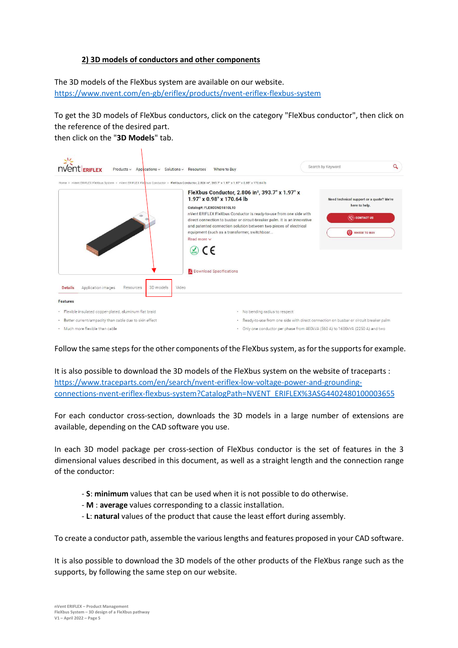## **2) 3D models of conductors and other components**

The 3D models of the FleXbus system are available on our website. https://www.nvent.com/en-gb/eriflex/products/nvent-eriflex-flexbus-system

To get the 3D models of FleXbus conductors, click on the category "FleXbus conductor", then click on the reference of the desired part.

then click on the "**3D Models**" tab.

| <b><i><u>ERIFLEX</u></i></b>                            | Products v Applications v Solutions v Resources | Where to Buy                                                                                                                                                                                                                                                                                                                                                                                                                                                                                                                                                                                                          | Search by Keyword                                                                                      | Q |
|---------------------------------------------------------|-------------------------------------------------|-----------------------------------------------------------------------------------------------------------------------------------------------------------------------------------------------------------------------------------------------------------------------------------------------------------------------------------------------------------------------------------------------------------------------------------------------------------------------------------------------------------------------------------------------------------------------------------------------------------------------|--------------------------------------------------------------------------------------------------------|---|
| Application images<br><b>Details</b>                    | 3D models<br>Video<br>Resources                 | Home > nVent ERIFLEX FleXbus System > nVent ERIFLEX FleXbus Conductor > FleXbus Conductor, 2.806 in*, 393.7* x 1.97* x 1.97* x 0.98* x 170.64 lb<br>FleXbus Conductor, 2.806 in <sup>2</sup> , 393.7" x 1.97" x<br>1.97" x 0.98" x 170.64 lb<br>Catalog#: FLEXCOND1810L10<br>nVent ERIFLEX FleXbus Conductor is ready-to-use from one side with<br>direct connection to busbar or circuit-breaker palm. It is an innovative<br>and patented connection solution between two pieces of electrical<br>equipment (such as a transformer, switchboar<br>Read more v<br>$\mathcal{D}$ CE<br><b>Download Specifications</b> | Need technical support or a quote? We're<br>here to help.<br>$\circledcirc$ contact us<br>WHERE TO BUY |   |
| <b>Features</b>                                         |                                                 |                                                                                                                                                                                                                                                                                                                                                                                                                                                                                                                                                                                                                       |                                                                                                        |   |
| · Flexible insulated copper-plated, aluminum flat braid |                                                 | • No bending radius to respect                                                                                                                                                                                                                                                                                                                                                                                                                                                                                                                                                                                        |                                                                                                        |   |
| · Better current/ampacity than cable due to skin effect |                                                 |                                                                                                                                                                                                                                                                                                                                                                                                                                                                                                                                                                                                                       | . Ready-to-use from one side with direct connection on busbar or circuit breaker palm                  |   |
| . Much more flexible than cable                         |                                                 |                                                                                                                                                                                                                                                                                                                                                                                                                                                                                                                                                                                                                       | . Only one conductor per phase from 400kVA (560 A) to 1600kVA (2250 A) and two                         |   |

Follow the same steps for the other components of the FleXbus system, as for the supports for example.

It is also possible to download the 3D models of the FleXbus system on the website of traceparts : https://www.traceparts.com/en/search/nvent-eriflex-low-voltage-power-and-groundingconnections-nvent-eriflex-flexbus-system?CatalogPath=NVENT\_ERIFLEX%3ASG4402480100003655

For each conductor cross-section, downloads the 3D models in a large number of extensions are available, depending on the CAD software you use.

In each 3D model package per cross-section of FleXbus conductor is the set of features in the 3 dimensional values described in this document, as well as a straight length and the connection range of the conductor:

- **S**: **minimum** values that can be used when it is not possible to do otherwise.
- **M** : **average** values corresponding to a classic installation.
- **L**: **natural** values of the product that cause the least effort during assembly.

To create a conductor path, assemble the various lengths and features proposed in your CAD software.

It is also possible to download the 3D models of the other products of the FleXbus range such as the supports, by following the same step on our website.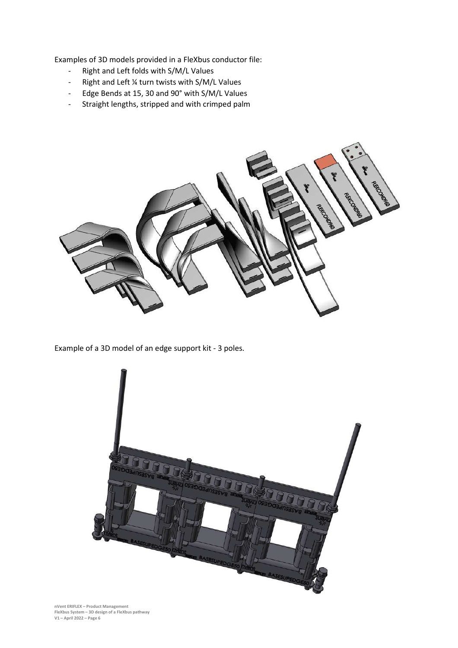Examples of 3D models provided in a FleXbus conductor file:

- Right and Left folds with S/M/L Values
- Right and Left ¼ turn twists with S/M/L Values
- Edge Bends at 15, 30 and 90° with S/M/L Values
- Straight lengths, stripped and with crimped palm



Example of a 3D model of an edge support kit - 3 poles.